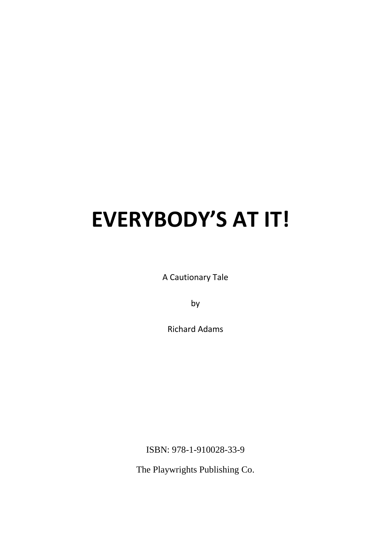A Cautionary Tale

by

Richard Adams

ISBN: 978-1-910028-33-9

The Playwrights Publishing Co.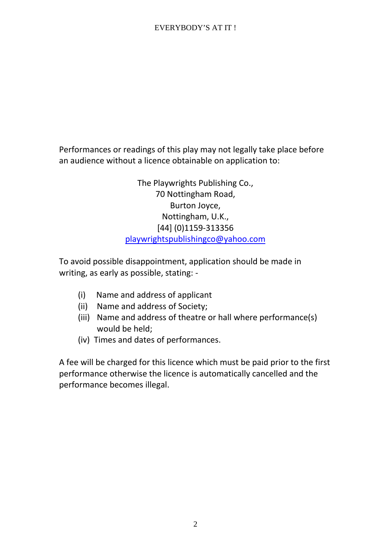Performances or readings of this play may not legally take place before an audience without a licence obtainable on application to:

> The Playwrights Publishing Co., 70 Nottingham Road, Burton Joyce, Nottingham, U.K., [44] (0)1159-313356 playwrightspublishingco@yahoo.com

To avoid possible disappointment, application should be made in writing, as early as possible, stating: -

- (i) Name and address of applicant
- (ii) Name and address of Society;
- (iii) Name and address of theatre or hall where performance(s) would be held;
- (iv) Times and dates of performances.

A fee will be charged for this licence which must be paid prior to the first performance otherwise the licence is automatically cancelled and the performance becomes illegal.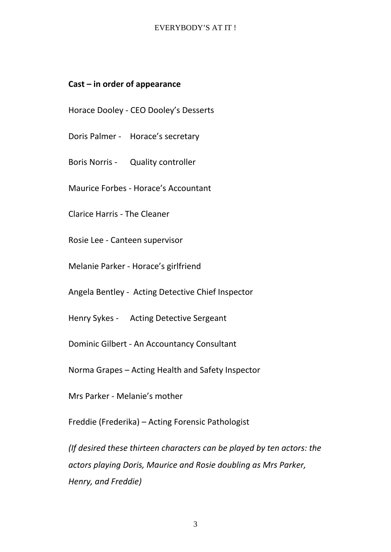# **Cast – in order of appearance**

Horace Dooley - CEO Dooley's Desserts

- Doris Palmer Horace's secretary
- Boris Norris Quality controller

Maurice Forbes - Horace's Accountant

Clarice Harris - The Cleaner

Rosie Lee - Canteen supervisor

Melanie Parker - Horace's girlfriend

Angela Bentley - Acting Detective Chief Inspector

Henry Sykes - Acting Detective Sergeant

Dominic Gilbert - An Accountancy Consultant

Norma Grapes – Acting Health and Safety Inspector

Mrs Parker - Melanie's mother

Freddie (Frederika) – Acting Forensic Pathologist

*(If desired these thirteen characters can be played by ten actors: the actors playing Doris, Maurice and Rosie doubling as Mrs Parker, Henry, and Freddie)*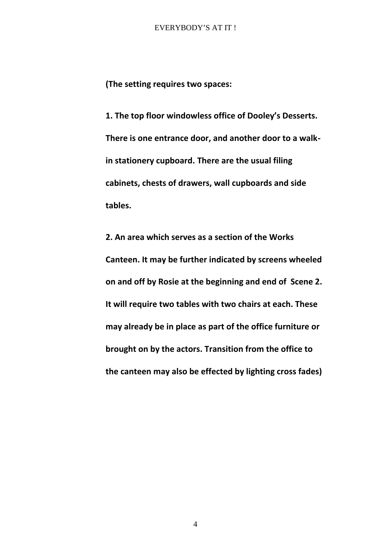**(The setting requires two spaces:**

**1. The top floor windowless office of Dooley's Desserts. There is one entrance door, and another door to a walkin stationery cupboard. There are the usual filing cabinets, chests of drawers, wall cupboards and side tables.**

**2. An area which serves as a section of the Works Canteen. It may be further indicated by screens wheeled on and off by Rosie at the beginning and end of Scene 2. It will require two tables with two chairs at each. These may already be in place as part of the office furniture or brought on by the actors. Transition from the office to the canteen may also be effected by lighting cross fades)**

4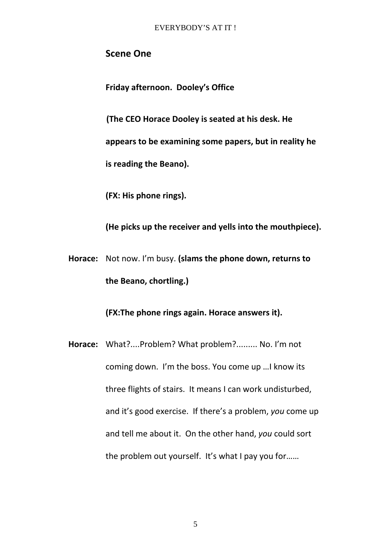# **Scene One**

**Friday afternoon. Dooley's Office**

**(The CEO Horace Dooley is seated at his desk. He appears to be examining some papers, but in reality he is reading the Beano).**

**(FX: His phone rings).**

**(He picks up the receiver and yells into the mouthpiece).**

**Horace:** Not now. I'm busy. **(slams the phone down, returns to the Beano, chortling.)**

**(FX:The phone rings again. Horace answers it).**

**Horace:** What?....Problem? What problem?......... No. I'm not coming down. I'm the boss. You come up …I know its three flights of stairs. It means I can work undisturbed, and it's good exercise. If there's a problem, *you* come up and tell me about it. On the other hand, *you* could sort the problem out yourself. It's what I pay you for……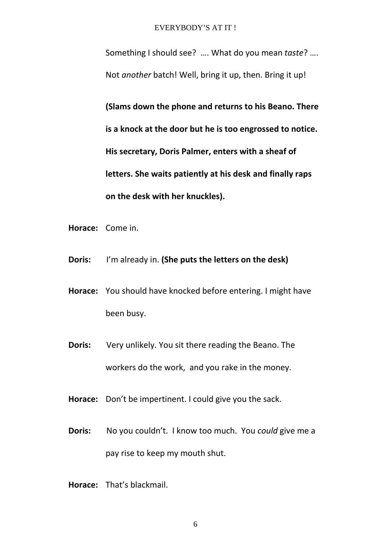Something I should see? …. What do you mean *taste*? …. Not *another* batch! Well, bring it up, then. Bring it up!

**(Slams down the phone and returns to his Beano. There is a knock at the door but he is too engrossed to notice. His secretary, Doris Palmer, enters with a sheaf of letters. She waits patiently at his desk and finally raps on the desk with her knuckles).**

- **Horace:** Come in.
- **Doris:** I'm already in. **(She puts the letters on the desk)**
- **Horace:** You should have knocked before entering. I might have been busy.
- **Doris:** Very unlikely. You sit there reading the Beano. The workers do the work, and you rake in the money.
- **Horace:** Don't be impertinent. I could give you the sack.
- **Doris:** No you couldn't. I know too much. You *could* give me a pay rise to keep my mouth shut.
- **Horace:** That's blackmail.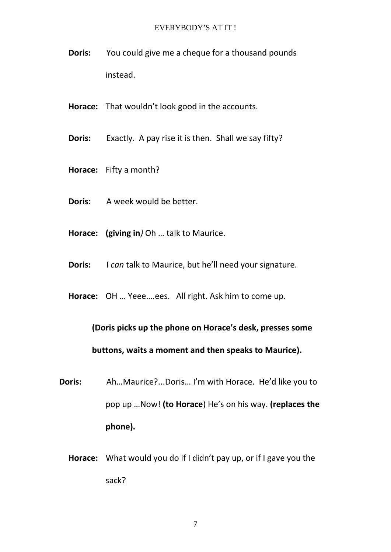- **Doris:** You could give me a cheque for a thousand pounds instead.
- **Horace:** That wouldn't look good in the accounts.
- **Doris:** Exactly. A pay rise it is then. Shall we say fifty?
- **Horace:** Fifty a month?
- **Doris:** A week would be better.
- **Horace: (giving in***)* Oh … talk to Maurice.
- **Doris:** I *can* talk to Maurice, but he'll need your signature.
- **Horace:** OH … Yeee….ees. All right. Ask him to come up.

# **(Doris picks up the phone on Horace's desk, presses some buttons, waits a moment and then speaks to Maurice).**

- **Doris:** Ah…Maurice?...Doris… I'm with Horace. He'd like you to pop up …Now! **(to Horace**) He's on his way. **(replaces the phone).**
	- **Horace:** What would you do if I didn't pay up, or if I gave you the sack?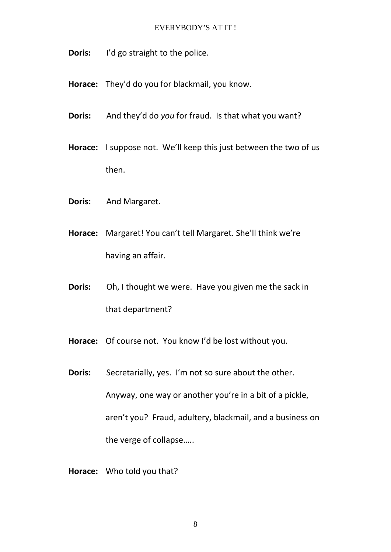- **Doris:** I'd go straight to the police.
- **Horace:** They'd do you for blackmail, you know.
- **Doris:** And they'd do *you* for fraud. Is that what you want?
- **Horace:** I suppose not. We'll keep this just between the two of us then.
- **Doris:** And Margaret.
- **Horace:** Margaret! You can't tell Margaret. She'll think we're having an affair.
- **Doris:** Oh, I thought we were. Have you given me the sack in that department?
- **Horace:** Of course not. You know I'd be lost without you.
- **Doris:** Secretarially, yes. I'm not so sure about the other. Anyway, one way or another you're in a bit of a pickle, aren't you? Fraud, adultery, blackmail, and a business on the verge of collapse…..
- **Horace:** Who told you that?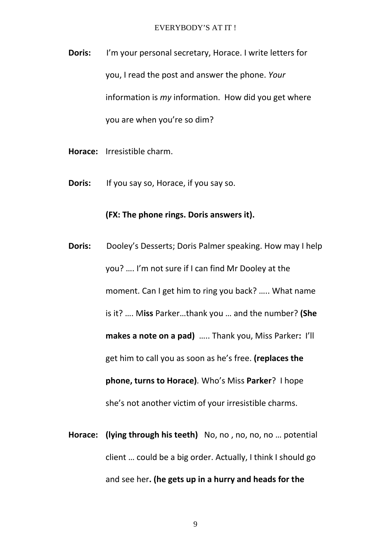**Doris:** I'm your personal secretary, Horace. I write letters for you, I read the post and answer the phone. *Your* information is *my* information. How did you get where you are when you're so dim?

- **Horace:** Irresistible charm.
- **Doris:** If you say so, Horace, if you say so.

# **(FX: The phone rings. Doris answers it).**

- **Doris:** Dooley's Desserts; Doris Palmer speaking. How may I help you? …. I'm not sure if I can find Mr Dooley at the moment. Can I get him to ring you back? ….. What name is it? …. M**iss** Parker…thank you … and the number? **(She makes a note on a pad)** ….. Thank you, Miss Parker**:** I'll get him to call you as soon as he's free. **(replaces the phone, turns to Horace)***.* Who's Miss **Parker**? I hope she's not another victim of your irresistible charms.
- **Horace: (lying through his teeth)** No, no , no, no, no … potential client … could be a big order. Actually, I think I should go and see her**. (he gets up in a hurry and heads for the**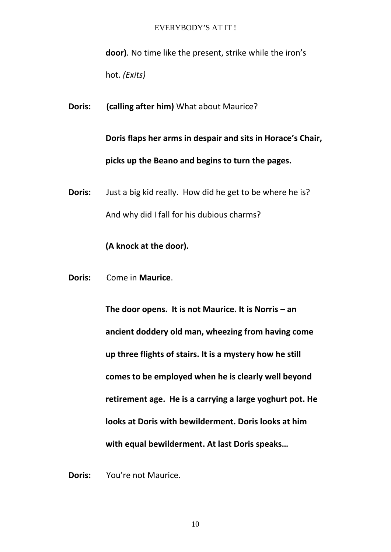**door)***.* No time like the present, strike while the iron's hot. *(Exits)*

**Doris: (calling after him)** What about Maurice?

**Doris flaps her arms in despair and sits in Horace's Chair, picks up the Beano and begins to turn the pages.**

**Doris:** Just a big kid really. How did he get to be where he is? And why did I fall for his dubious charms?

**(A knock at the door).**

**Doris:** Come in **Maurice**.

**The door opens. It is not Maurice. It is Norris – an ancient doddery old man, wheezing from having come up three flights of stairs. It is a mystery how he still comes to be employed when he is clearly well beyond retirement age. He is a carrying a large yoghurt pot. He looks at Doris with bewilderment. Doris looks at him with equal bewilderment. At last Doris speaks…**

**Doris:** You're not Maurice.

10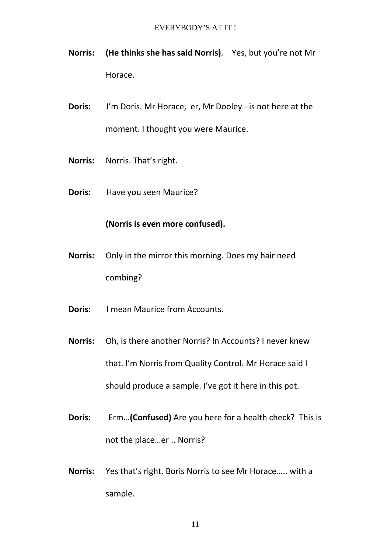- **Norris: (He thinks she has said Norris)***.* Yes, but you're not Mr Horace.
- **Doris:** I'm Doris. Mr Horace, er, Mr Dooley is not here at the moment. I thought you were Maurice.
- **Norris:** Norris. That's right.
- **Doris:** Have you seen Maurice?

# **(Norris is even more confused).**

- **Norris:** Only in the mirror this morning. Does my hair need combing?
- **Doris:** I mean Maurice from Accounts.
- **Norris:** Oh, is there another Norris? In Accounts? I never knew that. I'm Norris from Quality Control. Mr Horace said I should produce a sample. I've got it here in this pot.
- **Doris:** Erm…**(Confused)** Are you here for a health check? This is not the place…er .. Norris?
- **Norris:** Yes that's right. Boris Norris to see Mr Horace….. with a sample.